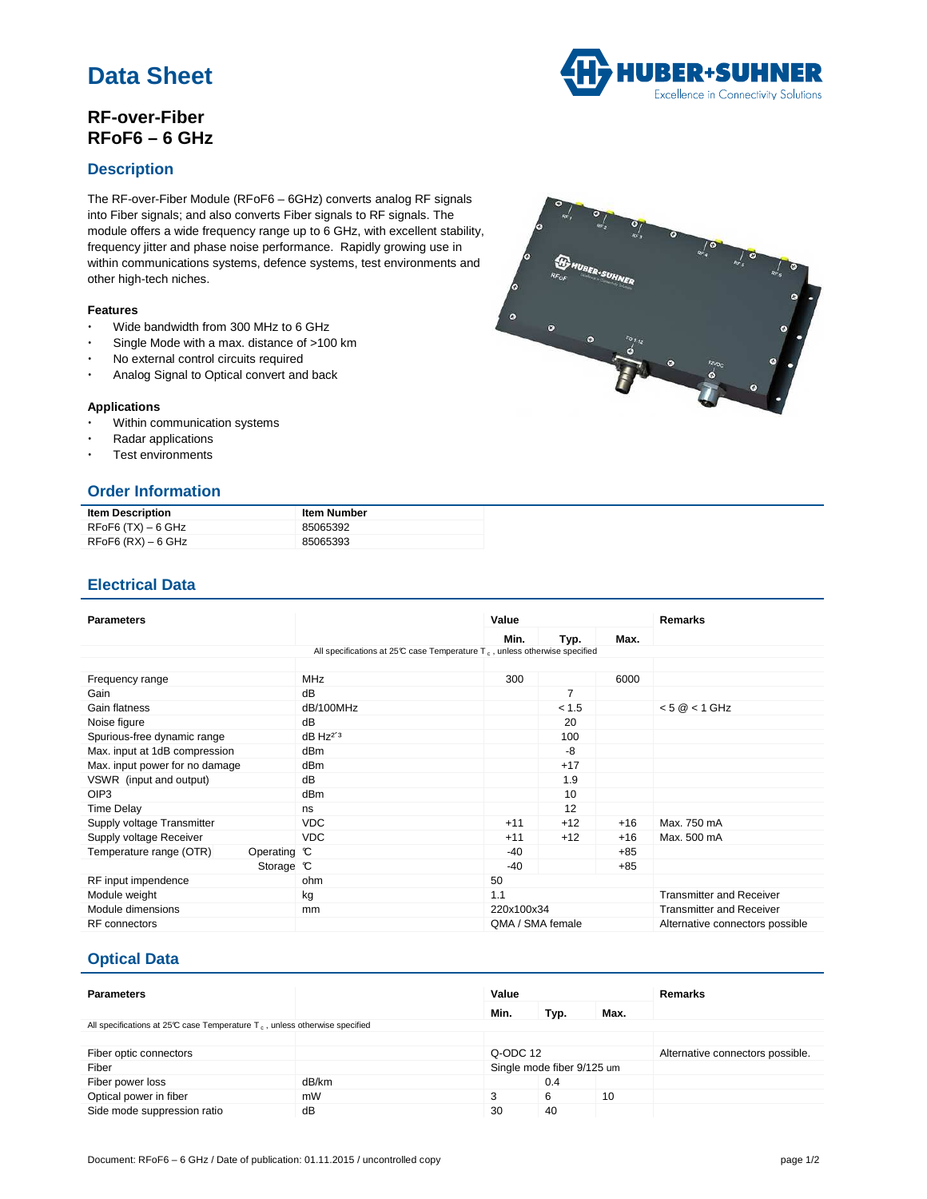# **Data Sheet**

# **RF-over-Fiber RFoF6 – 6 GHz**



The RF-over-Fiber Module (RFoF6 – 6GHz) converts analog RF signals into Fiber signals; and also converts Fiber signals to RF signals. The module offers a wide frequency range up to 6 GHz, with excellent stability, frequency jitter and phase noise performance. Rapidly growing use in within communications systems, defence systems, test environments and other high-tech niches.

#### **Features**

- Wide bandwidth from 300 MHz to 6 GHz
- Single Mode with a max. distance of >100 km
- No external control circuits required
- Analog Signal to Optical convert and back

#### **Applications**

- Within communication systems
- Radar applications
- Test environments

## **Order Information**

| <b>Item Description</b> | <b>Item Number</b> |
|-------------------------|--------------------|
| RFoF6 (TX) – 6 GHz      | 85065392           |
| $RFoF6$ (RX) $-6$ GHz   | 85065393           |

### **Electrical Data**

| <b>Parameters</b>                                                              |                        | Value            |       |       | Remarks                         |  |  |
|--------------------------------------------------------------------------------|------------------------|------------------|-------|-------|---------------------------------|--|--|
|                                                                                |                        | Min.             | Typ.  | Max.  |                                 |  |  |
| All specifications at 25°C case Temperature $T_c$ , unless otherwise specified |                        |                  |       |       |                                 |  |  |
|                                                                                |                        |                  |       |       |                                 |  |  |
| Frequency range                                                                | <b>MHz</b>             | 300              |       | 6000  |                                 |  |  |
| Gain                                                                           | dB                     |                  | 7     |       |                                 |  |  |
| Gain flatness                                                                  | dB/100MHz              |                  | < 1.5 |       | $< 5$ @ $< 1$ GHz               |  |  |
| Noise figure                                                                   | dB                     |                  | 20    |       |                                 |  |  |
| Spurious-free dynamic range                                                    | $dB$ Hz <sup>2'3</sup> |                  | 100   |       |                                 |  |  |
| Max. input at 1dB compression                                                  | dB <sub>m</sub>        |                  | -8    |       |                                 |  |  |
| Max. input power for no damage                                                 | dBm                    |                  | $+17$ |       |                                 |  |  |
| VSWR (input and output)                                                        | dB                     |                  | 1.9   |       |                                 |  |  |
| OIP <sub>3</sub>                                                               | dB <sub>m</sub>        |                  | 10    |       |                                 |  |  |
| <b>Time Delay</b>                                                              | ns                     |                  | 12    |       |                                 |  |  |
| Supply voltage Transmitter                                                     | <b>VDC</b>             | $+11$            | $+12$ | $+16$ | Max. 750 mA                     |  |  |
| Supply voltage Receiver                                                        | <b>VDC</b>             | $+11$            | $+12$ | $+16$ | Max. 500 mA                     |  |  |
| Temperature range (OTR)<br>Operating C                                         |                        | $-40$            |       | $+85$ |                                 |  |  |
| Storage $\mathbb C$                                                            |                        | $-40$            |       | $+85$ |                                 |  |  |
| RF input impendence                                                            | ohm                    | 50               |       |       |                                 |  |  |
| Module weight                                                                  | kg                     | 1.1              |       |       | <b>Transmitter and Receiver</b> |  |  |
| Module dimensions                                                              | mm                     | 220x100x34       |       |       | <b>Transmitter and Receiver</b> |  |  |
| <b>RF</b> connectors                                                           |                        | QMA / SMA female |       |       | Alternative connectors possible |  |  |

### **Optical Data**

| <b>Parameters</b>                                                                       |       | Value                      |      |      | <b>Remarks</b>                   |  |
|-----------------------------------------------------------------------------------------|-------|----------------------------|------|------|----------------------------------|--|
|                                                                                         |       | Min.                       | Typ. | Max. |                                  |  |
| All specifications at 25°C case Temperature T <sub>c</sub> , unless otherwise specified |       |                            |      |      |                                  |  |
|                                                                                         |       |                            |      |      |                                  |  |
| Fiber optic connectors                                                                  |       | Q-ODC 12                   |      |      | Alternative connectors possible. |  |
| Fiber                                                                                   |       | Single mode fiber 9/125 um |      |      |                                  |  |
| Fiber power loss                                                                        | dB/km |                            | 0.4  |      |                                  |  |
| Optical power in fiber                                                                  | mW    | 3                          | 6    | 10   |                                  |  |
| Side mode suppression ratio                                                             | dB    | 30                         | 40   |      |                                  |  |